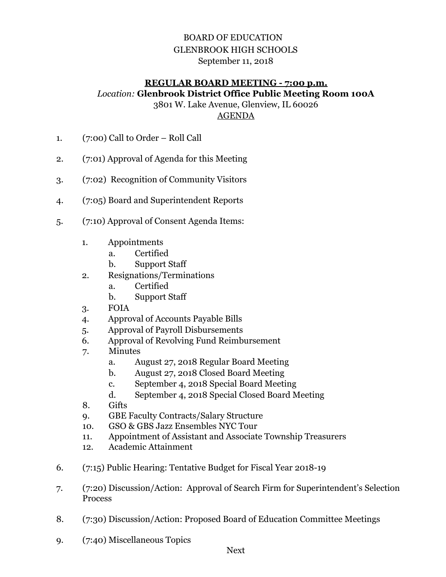## BOARD OF EDUCATION GLENBROOK HIGH SCHOOLS September 11, 2018

## **REGULAR BOARD MEETING - 7:00 p.m.**  *Location:* **Glenbrook District Office Public Meeting Room 100A**

3801 W. Lake Avenue, Glenview, IL 60026

AGENDA

- 1. (7:00) Call to Order Roll Call
- 2. (7:01) Approval of Agenda for this Meeting
- 3. (7:02) Recognition of Community Visitors
- 4. (7:05) Board and Superintendent Reports
- 5. (7:10) Approval of Consent Agenda Items:
	- 1. Appointments
		- a. Certified
			- b. Support Staff
	- 2. Resignations/Terminations
		- a. Certified
		- b. Support Staff
	- 3. FOIA
	- 4. Approval of Accounts Payable Bills
	- 5. Approval of Payroll Disbursements
	- 6. Approval of Revolving Fund Reimbursement
	- 7. Minutes
		- a. August 27, 2018 Regular Board Meeting
		- b. August 27, 2018 Closed Board Meeting
		- c. September 4, 2018 Special Board Meeting
		- d. September 4, 2018 Special Closed Board Meeting
	- 8. Gifts
	- 9. GBE Faculty Contracts/Salary Structure
	- 10. GSO & GBS Jazz Ensembles NYC Tour
	- 11. Appointment of Assistant and Associate Township Treasurers
	- 12. Academic Attainment
- 6. (7:15) Public Hearing: Tentative Budget for Fiscal Year 2018-19
- 7. (7:20) Discussion/Action: Approval of Search Firm for Superintendent's Selection Process
- 8. (7:30) Discussion/Action: Proposed Board of Education Committee Meetings
- 9. (7:40) Miscellaneous Topics